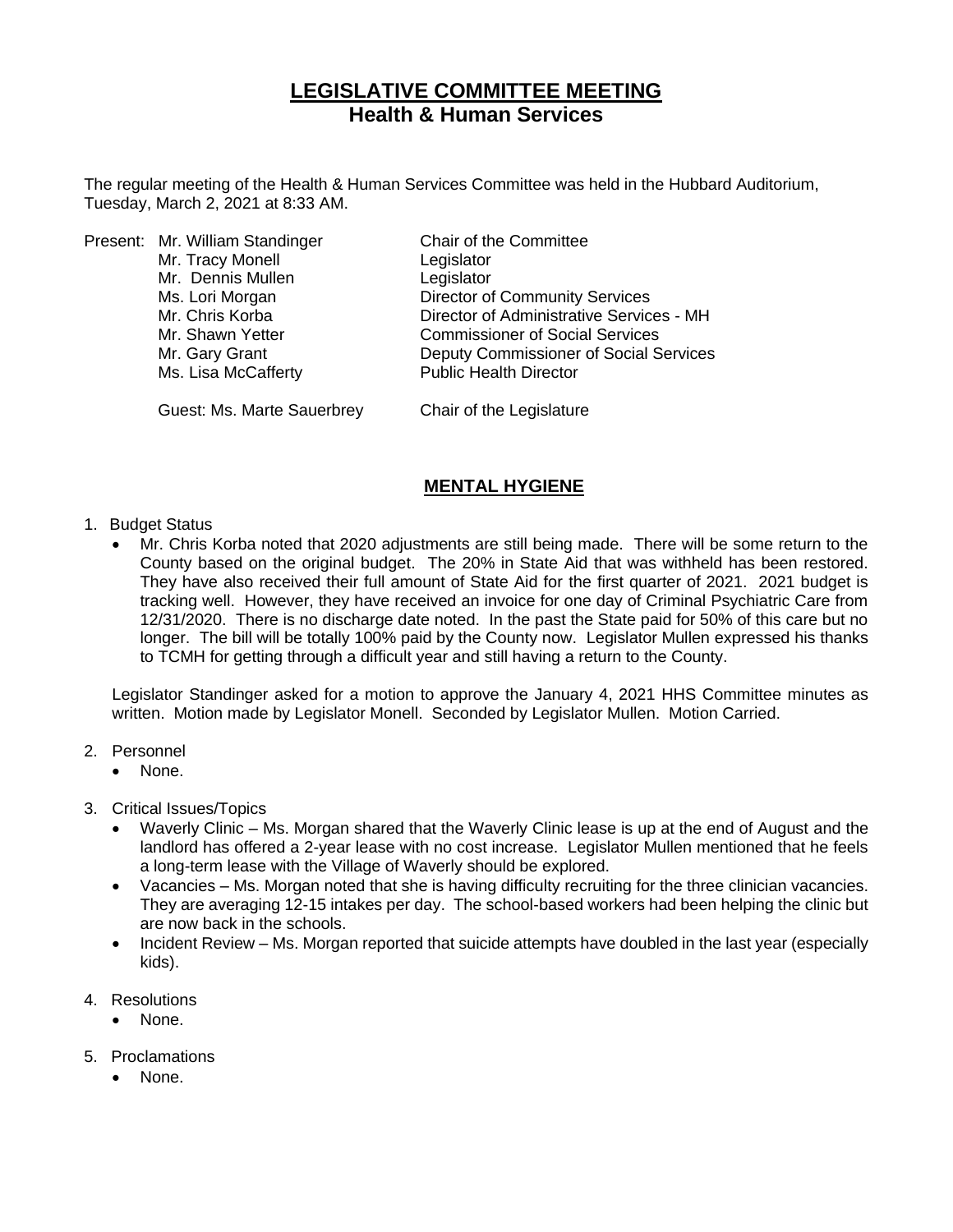# **LEGISLATIVE COMMITTEE MEETING Health & Human Services**

The regular meeting of the Health & Human Services Committee was held in the Hubbard Auditorium, Tuesday, March 2, 2021 at 8:33 AM.

|  | Present: Mr. William Standinger | Chair of the Committee                   |
|--|---------------------------------|------------------------------------------|
|  | Mr. Tracy Monell                | Legislator                               |
|  | Mr. Dennis Mullen               | Legislator                               |
|  | Ms. Lori Morgan                 | <b>Director of Community Services</b>    |
|  | Mr. Chris Korba                 | Director of Administrative Services - MH |
|  | Mr. Shawn Yetter                | <b>Commissioner of Social Services</b>   |
|  | Mr. Gary Grant                  | Deputy Commissioner of Social Services   |
|  | Ms. Lisa McCafferty             | <b>Public Health Director</b>            |
|  |                                 |                                          |

Guest: Ms. Marte Sauerbrey Chair of the Legislature

### **MENTAL HYGIENE**

- 1. Budget Status
	- Mr. Chris Korba noted that 2020 adjustments are still being made. There will be some return to the County based on the original budget. The 20% in State Aid that was withheld has been restored. They have also received their full amount of State Aid for the first quarter of 2021. 2021 budget is tracking well. However, they have received an invoice for one day of Criminal Psychiatric Care from 12/31/2020. There is no discharge date noted. In the past the State paid for 50% of this care but no longer. The bill will be totally 100% paid by the County now. Legislator Mullen expressed his thanks to TCMH for getting through a difficult year and still having a return to the County.

Legislator Standinger asked for a motion to approve the January 4, 2021 HHS Committee minutes as written. Motion made by Legislator Monell. Seconded by Legislator Mullen. Motion Carried.

- 2. Personnel
	- None.
- 3. Critical Issues/Topics
	- Waverly Clinic Ms. Morgan shared that the Waverly Clinic lease is up at the end of August and the landlord has offered a 2-year lease with no cost increase. Legislator Mullen mentioned that he feels a long-term lease with the Village of Waverly should be explored.
	- Vacancies Ms. Morgan noted that she is having difficulty recruiting for the three clinician vacancies. They are averaging 12-15 intakes per day. The school-based workers had been helping the clinic but are now back in the schools.
	- Incident Review Ms. Morgan reported that suicide attempts have doubled in the last year (especially kids).
- 4. Resolutions
	- None.
- 5. Proclamations
	- None.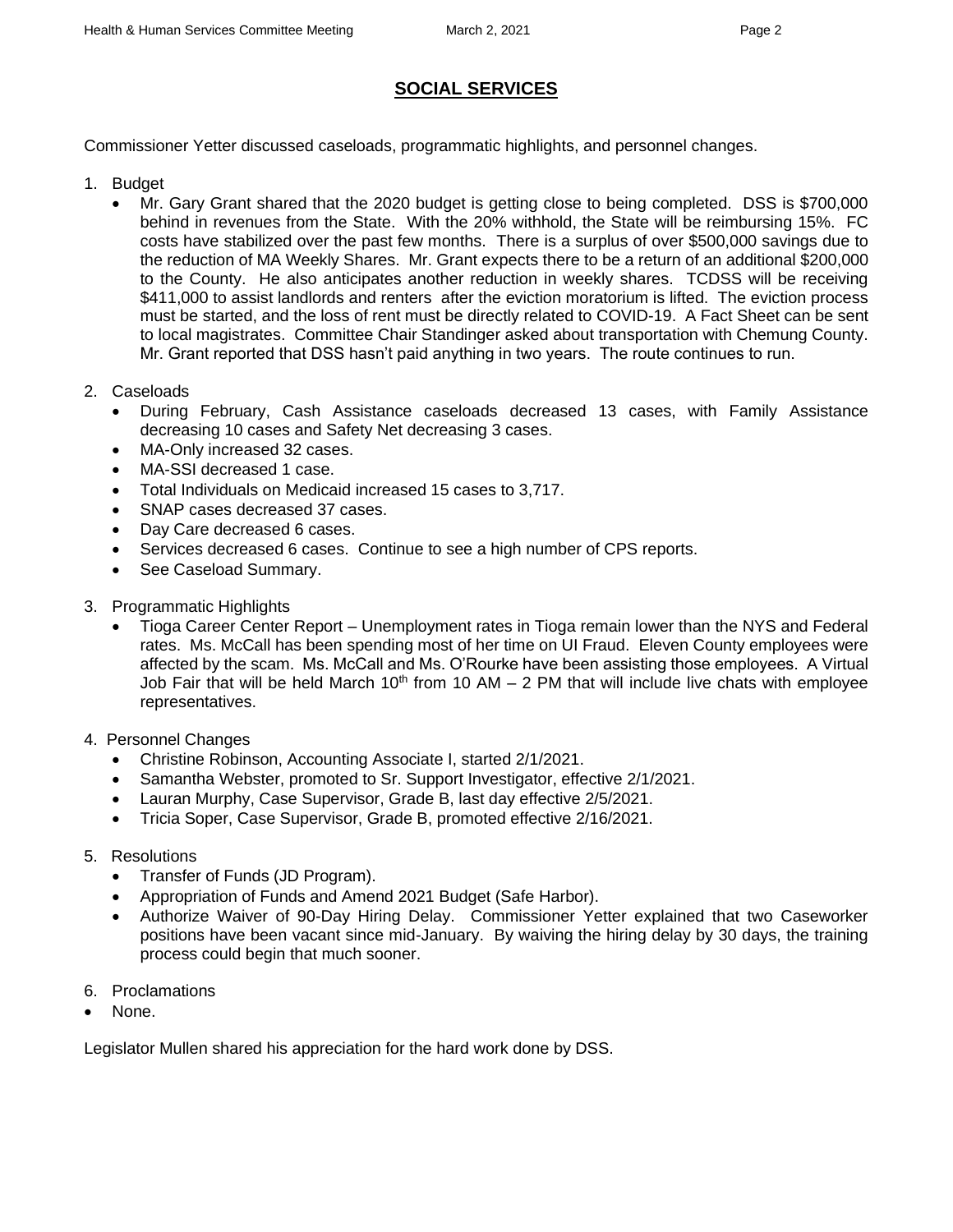## **SOCIAL SERVICES**

Commissioner Yetter discussed caseloads, programmatic highlights, and personnel changes.

- 1. Budget
	- Mr. Gary Grant shared that the 2020 budget is getting close to being completed. DSS is \$700,000 behind in revenues from the State. With the 20% withhold, the State will be reimbursing 15%. FC costs have stabilized over the past few months. There is a surplus of over \$500,000 savings due to the reduction of MA Weekly Shares. Mr. Grant expects there to be a return of an additional \$200,000 to the County. He also anticipates another reduction in weekly shares. TCDSS will be receiving \$411,000 to assist landlords and renters after the eviction moratorium is lifted. The eviction process must be started, and the loss of rent must be directly related to COVID-19. A Fact Sheet can be sent to local magistrates. Committee Chair Standinger asked about transportation with Chemung County. Mr. Grant reported that DSS hasn't paid anything in two years. The route continues to run.
- 2. Caseloads
	- During February, Cash Assistance caseloads decreased 13 cases, with Family Assistance decreasing 10 cases and Safety Net decreasing 3 cases.
	- MA-Only increased 32 cases.
	- MA-SSI decreased 1 case.
	- Total Individuals on Medicaid increased 15 cases to 3,717.
	- SNAP cases decreased 37 cases.
	- Day Care decreased 6 cases.
	- Services decreased 6 cases. Continue to see a high number of CPS reports.
	- See Caseload Summary.
- 3. Programmatic Highlights
	- Tioga Career Center Report Unemployment rates in Tioga remain lower than the NYS and Federal rates. Ms. McCall has been spending most of her time on UI Fraud. Eleven County employees were affected by the scam. Ms. McCall and Ms. O'Rourke have been assisting those employees. A Virtual Job Fair that will be held March 10<sup>th</sup> from 10 AM  $-$  2 PM that will include live chats with employee representatives.
- 4. Personnel Changes
	- Christine Robinson, Accounting Associate I, started 2/1/2021.
	- Samantha Webster, promoted to Sr. Support Investigator, effective 2/1/2021.
	- Lauran Murphy, Case Supervisor, Grade B, last day effective 2/5/2021.
	- Tricia Soper, Case Supervisor, Grade B, promoted effective 2/16/2021.
- 5. Resolutions
	- Transfer of Funds (JD Program).
	- Appropriation of Funds and Amend 2021 Budget (Safe Harbor).
	- Authorize Waiver of 90-Day Hiring Delay. Commissioner Yetter explained that two Caseworker positions have been vacant since mid-January. By waiving the hiring delay by 30 days, the training process could begin that much sooner.
- 6. Proclamations
- None.

Legislator Mullen shared his appreciation for the hard work done by DSS.